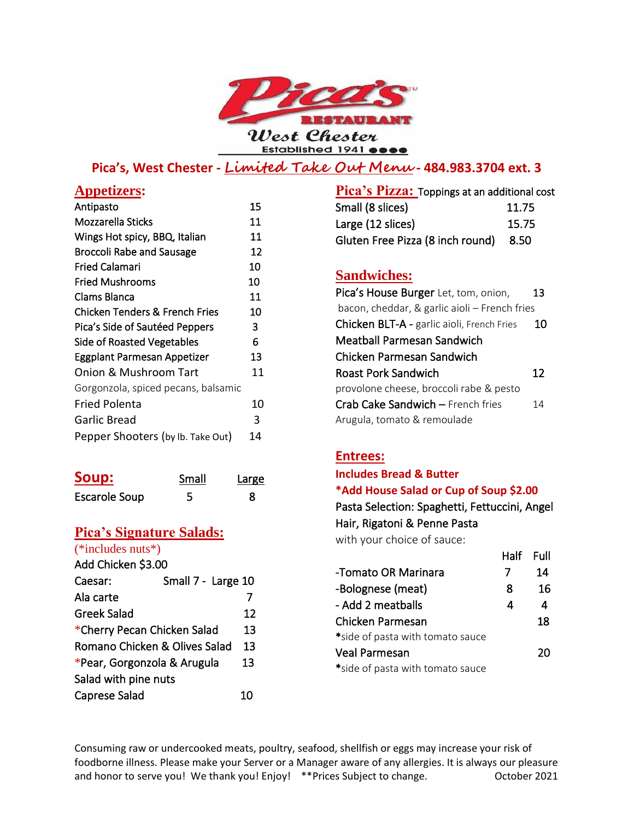

# **Pica's, West Chester - Limited Take Out Menu - 484.983.3704 ext. 3**

| <b>Appetizers:</b>                  |    |
|-------------------------------------|----|
| Antipasto                           | 15 |
| Mozzarella Sticks                   | 11 |
| Wings Hot spicy, BBQ, Italian       | 11 |
| <b>Broccoli Rabe and Sausage</b>    | 12 |
| Fried Calamari                      | 10 |
| <b>Fried Mushrooms</b>              | 10 |
| Clams Blanca                        | 11 |
| Chicken Tenders & French Fries      | 10 |
| Pica's Side of Sautéed Peppers      | 3  |
| <b>Side of Roasted Vegetables</b>   | 6  |
| Eggplant Parmesan Appetizer         | 13 |
| Onion & Mushroom Tart               | 11 |
| Gorgonzola, spiced pecans, balsamic |    |
| <b>Fried Polenta</b>                | 10 |
| <b>Garlic Bread</b>                 | 3  |
| Pepper Shooters (by Ib. Take Out)   | 14 |

| Soup:                | Small | Large |
|----------------------|-------|-------|
| <b>Escarole Soup</b> |       |       |

## **Pica's Signature Salads:**

| (*includes nuts*)             |                    |    |
|-------------------------------|--------------------|----|
| Add Chicken \$3.00            |                    |    |
| Caesar:                       | Small 7 - Large 10 |    |
| Ala carte                     |                    |    |
| Greek Salad                   |                    | 12 |
| *Cherry Pecan Chicken Salad   |                    | 13 |
| Romano Chicken & Olives Salad |                    | 13 |
| *Pear, Gorgonzola & Arugula   |                    | 13 |
| Salad with pine nuts          |                    |    |
| <b>Caprese Salad</b>          |                    | 10 |
|                               |                    |    |

**Pica's Pizza:** Toppings at an additional cost Small (8 slices) 11.75 Large (12 slices) 15.75 Gluten Free Pizza (8 inch round) 8.50

## **Sandwiches:**

| Pica's House Burger Let, tom, onion,              | 13 |
|---------------------------------------------------|----|
| bacon, cheddar, & garlic aioli – French fries     |    |
| <b>Chicken BLT-A - garlic aioli, French Fries</b> | 10 |
| Meatball Parmesan Sandwich                        |    |
| Chicken Parmesan Sandwich                         |    |
| Roast Pork Sandwich                               | 12 |
| provolone cheese, broccoli rabe & pesto           |    |
| <b>Crab Cake Sandwich - French fries</b>          | 14 |
| Arugula, tomato & remoulade                       |    |

## **Entrees:**

### **Includes Bread & Butter**

#### **\*Add House Salad or Cup of Soup \$2.00**

Pasta Selection: Spaghetti, Fettuccini, Angel Hair, Rigatoni & Penne Pasta

with your choice of sauce:

|                                  | Half Full |    |
|----------------------------------|-----------|----|
| -Tomato OR Marinara              |           | 14 |
| -Bolognese (meat)                | 8         | 16 |
| - Add 2 meatballs                | 4         | 4  |
| Chicken Parmesan                 |           | 18 |
| *side of pasta with tomato sauce |           |    |
| <b>Veal Parmesan</b>             |           | 20 |
| *side of pasta with tomato sauce |           |    |

Consuming raw or undercooked meats, poultry, seafood, shellfish or eggs may increase your risk of foodborne illness. Please make your Server or a Manager aware of any allergies. It is always our pleasure and honor to serve you! We thank you! Enjoy! \*\*Prices Subject to change. 0ctober 2021